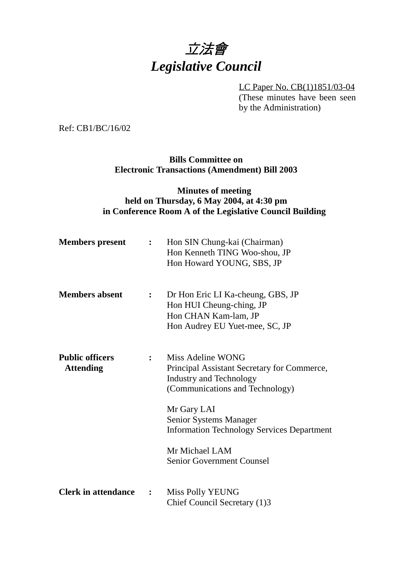

LC Paper No. CB(1)1851/03-04 (These minutes have been seen by the Administration)

Ref: CB1/BC/16/02

**Bills Committee on Electronic Transactions (Amendment) Bill 2003**

## **Minutes of meeting held on Thursday, 6 May 2004, at 4:30 pm in Conference Room A of the Legislative Council Building**

| <b>Members</b> present                     | $\mathbf{L}$   | Hon SIN Chung-kai (Chairman)<br>Hon Kenneth TING Woo-shou, JP<br>Hon Howard YOUNG, SBS, JP                                                                                                                                                                                                       |
|--------------------------------------------|----------------|--------------------------------------------------------------------------------------------------------------------------------------------------------------------------------------------------------------------------------------------------------------------------------------------------|
| <b>Members absent</b>                      | $\ddot{\cdot}$ | Dr Hon Eric LI Ka-cheung, GBS, JP<br>Hon HUI Cheung-ching, JP<br>Hon CHAN Kam-lam, JP<br>Hon Audrey EU Yuet-mee, SC, JP                                                                                                                                                                          |
| <b>Public officers</b><br><b>Attending</b> | $\ddot{\cdot}$ | Miss Adeline WONG<br>Principal Assistant Secretary for Commerce,<br><b>Industry and Technology</b><br>(Communications and Technology)<br>Mr Gary LAI<br><b>Senior Systems Manager</b><br><b>Information Technology Services Department</b><br>Mr Michael LAM<br><b>Senior Government Counsel</b> |
| <b>Clerk in attendance</b>                 | $\ddot{\cdot}$ | Miss Polly YEUNG<br>Chief Council Secretary (1)3                                                                                                                                                                                                                                                 |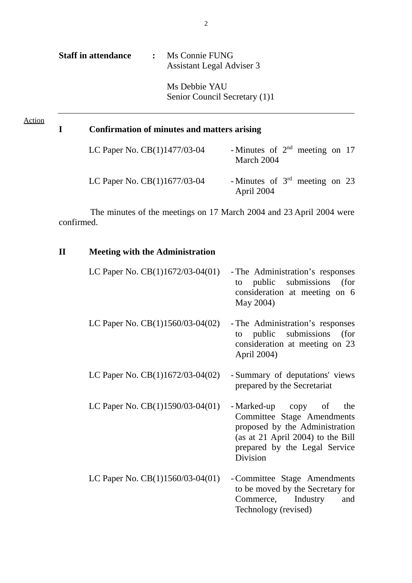| <b>Staff in attendance</b> | Ms Connie FUNG<br>$\ddot{\cdot}$<br>Assistant Legal Adviser 3 |                                                                     |
|----------------------------|---------------------------------------------------------------|---------------------------------------------------------------------|
|                            | Ms Debbie YAU                                                 | Senior Council Secretary (1)1                                       |
| I                          | Confirmation of minutes and matters arising                   |                                                                     |
|                            | LC Paper No. CB(1)1477/03-04                                  | - Minutes of $2nd$ meeting on 17<br>March 2004                      |
|                            | LC Paper No. CB(1)1677/03-04                                  | - Minutes of $3rd$ meeting on 23<br>April 2004                      |
| confirmed.                 |                                                               | The minutes of the meetings on 17 March 2004 and 23 April 2004 were |
| $\mathbf{I}$               | <b>Meeting with the Administration</b>                        |                                                                     |
|                            | $IC$ Paper No. $CR(1)1672/03.04(01)$                          | The Administration's responses                                      |

| LC Paper No. CB(1)1672/03-04(01)   | - The Administration's responses<br>public submissions (for<br>to<br>consideration at meeting on 6<br>May 2004)                                                              |
|------------------------------------|------------------------------------------------------------------------------------------------------------------------------------------------------------------------------|
| LC Paper No. $CB(1)1560/03-04(02)$ | - The Administration's responses<br>public submissions (for<br>to<br>consideration at meeting on 23<br>April 2004)                                                           |
| LC Paper No. $CB(1)1672/03-04(02)$ | - Summary of deputations' views<br>prepared by the Secretariat                                                                                                               |
| LC Paper No. CB(1)1590/03-04(01)   | - Marked-up copy of<br>the<br>Committee Stage Amendments<br>proposed by the Administration<br>(as at 21 April 2004) to the Bill<br>prepared by the Legal Service<br>Division |
| LC Paper No. CB(1)1560/03-04(01)   | - Committee Stage Amendments<br>to be moved by the Secretary for<br>Commerce, Industry<br>and<br>Technology (revised)                                                        |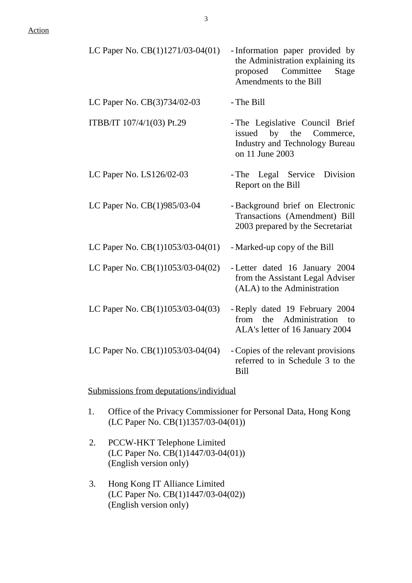| LC Paper No. CB(1)1271/03-04(01)                                       | - Information paper provided by<br>the Administration explaining its<br>proposed Committee<br>Stage<br>Amendments to the Bill |
|------------------------------------------------------------------------|-------------------------------------------------------------------------------------------------------------------------------|
| LC Paper No. CB(3)734/02-03                                            | - The Bill                                                                                                                    |
| ITBB/IT 107/4/1(03) Pt.29                                              | - The Legislative Council Brief<br>issued by the Commerce,<br><b>Industry and Technology Bureau</b><br>on 11 June 2003        |
| LC Paper No. LS126/02-03                                               | - The Legal Service Division<br>Report on the Bill                                                                            |
| LC Paper No. CB(1)985/03-04                                            | - Background brief on Electronic<br>Transactions (Amendment) Bill<br>2003 prepared by the Secretariat                         |
| LC Paper No. CB(1)1053/03-04(01)                                       | - Marked-up copy of the Bill                                                                                                  |
| LC Paper No. CB(1)1053/03-04(02)                                       | - Letter dated 16 January 2004<br>from the Assistant Legal Adviser<br>(ALA) to the Administration                             |
| LC Paper No. CB(1)1053/03-04(03)                                       | - Reply dated 19 February 2004<br>from the Administration to<br>ALA's letter of 16 January 2004                               |
| LC Paper No. $CB(1)1053/03-04(04)$ - Copies of the relevant provisions | referred to in Schedule 3 to the<br><b>Bill</b>                                                                               |
| Submissions from deputations/individual                                |                                                                                                                               |

- 1. Office of the Privacy Commissioner for Personal Data, Hong Kong (LC Paper No. CB(1)1357/03-04(01))
- 2. PCCW-HKT Telephone Limited (LC Paper No. CB(1)1447/03-04(01)) (English version only)
- 3. Hong Kong IT Alliance Limited (LC Paper No. CB(1)1447/03-04(02)) (English version only)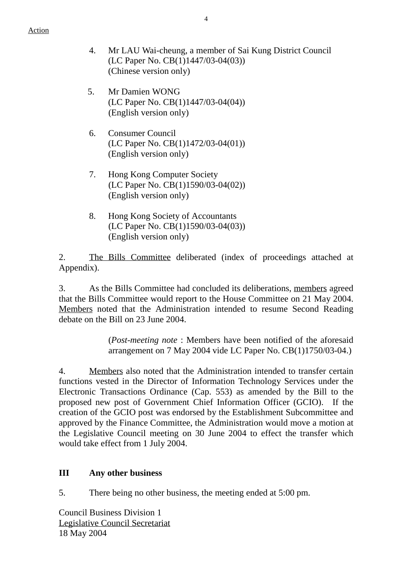- 4. Mr LAU Wai-cheung, a member of Sai Kung District Council (LC Paper No. CB(1)1447/03-04(03)) (Chinese version only)
- 5. Mr Damien WONG (LC Paper No. CB(1)1447/03-04(04)) (English version only)
- 6. Consumer Council (LC Paper No. CB(1)1472/03-04(01)) (English version only)
- 7. Hong Kong Computer Society (LC Paper No. CB(1)1590/03-04(02)) (English version only)
- 8. Hong Kong Society of Accountants (LC Paper No. CB(1)1590/03-04(03)) (English version only)

2. The Bills Committee deliberated (index of proceedings attached at Appendix).

3. As the Bills Committee had concluded its deliberations, members agreed that the Bills Committee would report to the House Committee on 21 May 2004. Members noted that the Administration intended to resume Second Reading debate on the Bill on 23 June 2004.

> (*Post-meeting note* : Members have been notified of the aforesaid arrangement on 7 May 2004 vide LC Paper No. CB(1)1750/03-04.)

4. Members also noted that the Administration intended to transfer certain functions vested in the Director of Information Technology Services under the Electronic Transactions Ordinance (Cap. 553) as amended by the Bill to the proposed new post of Government Chief Information Officer (GCIO). If the creation of the GCIO post was endorsed by the Establishment Subcommittee and approved by the Finance Committee, the Administration would move a motion at the Legislative Council meeting on 30 June 2004 to effect the transfer which would take effect from 1 July 2004.

## **III Any other business**

5. There being no other business, the meeting ended at 5:00 pm.

Council Business Division 1 Legislative Council Secretariat 18 May 2004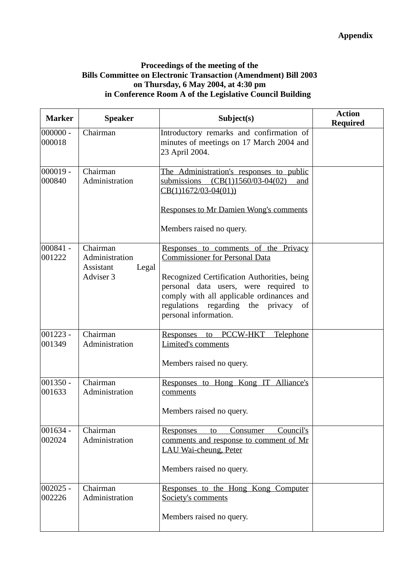## **Proceedings of the meeting of the Bills Committee on Electronic Transaction (Amendment) Bill 2003 on Thursday, 6 May 2004, at 4:30 pm in Conference Room A of the Legislative Council Building**

| <b>Marker</b>        | <b>Speaker</b>                  | Subject(s)                                                                                                                                                                                               | <b>Action</b><br><b>Required</b> |
|----------------------|---------------------------------|----------------------------------------------------------------------------------------------------------------------------------------------------------------------------------------------------------|----------------------------------|
| $000000 -$<br>000018 | Chairman                        | Introductory remarks and confirmation of<br>minutes of meetings on 17 March 2004 and<br>23 April 2004.                                                                                                   |                                  |
| $000019 -$<br>000840 | Chairman<br>Administration      | The Administration's responses to public<br>submissions $(CB(1)1560/03-04(02))$<br>and<br>$CB(1)1672/03-04(01))$                                                                                         |                                  |
|                      |                                 | <b>Responses to Mr Damien Wong's comments</b>                                                                                                                                                            |                                  |
|                      |                                 | Members raised no query.                                                                                                                                                                                 |                                  |
| $000841 -$<br>001222 | Chairman<br>Administration      | Responses to comments of the Privacy<br><b>Commissioner for Personal Data</b>                                                                                                                            |                                  |
|                      | Assistant<br>Legal<br>Adviser 3 | Recognized Certification Authorities, being<br>personal data users, were required to<br>comply with all applicable ordinances and<br>regulations regarding the<br>privacy<br>of<br>personal information. |                                  |
| $001223 -$<br>001349 | Chairman<br>Administration      | Responses to PCCW-HKT<br><b>Telephone</b><br><b>Limited's comments</b>                                                                                                                                   |                                  |
|                      |                                 | Members raised no query.                                                                                                                                                                                 |                                  |
| $001350 -$<br>001633 | Chairman<br>Administration      | Responses to Hong Kong IT Alliance's<br>comments                                                                                                                                                         |                                  |
|                      |                                 | Members raised no query.                                                                                                                                                                                 |                                  |
| $001634 -$<br>002024 | Chairman<br>Administration      | Council's<br>Consumer<br>Responses<br>to<br>comments and response to comment of Mr<br>LAU Wai-cheung, Peter                                                                                              |                                  |
|                      |                                 | Members raised no query.                                                                                                                                                                                 |                                  |
| $002025 -$<br>002226 | Chairman<br>Administration      | Responses to the Hong Kong Computer<br>Society's comments                                                                                                                                                |                                  |
|                      |                                 | Members raised no query.                                                                                                                                                                                 |                                  |